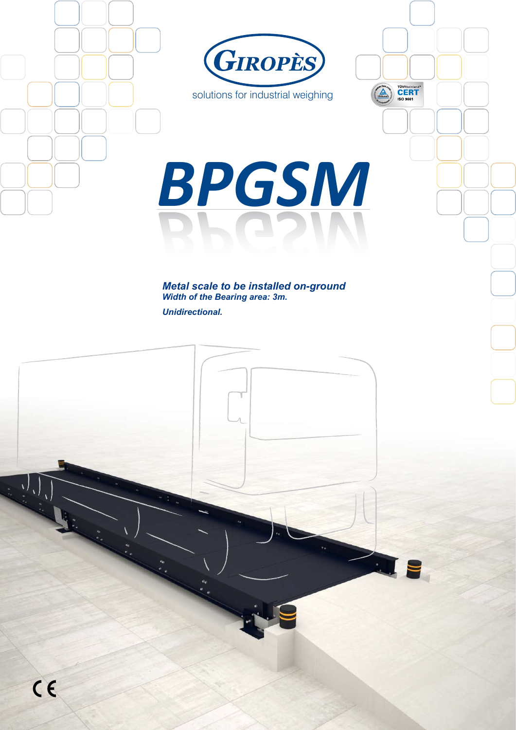

solutions for industrial weighing

TÜVRheinland<br>CERT<br>ISO 9001

# *BPGSM BPGSM*

*Metal scale to be installed on-ground Width of the Bearing area: 3m. Unidirectional.*

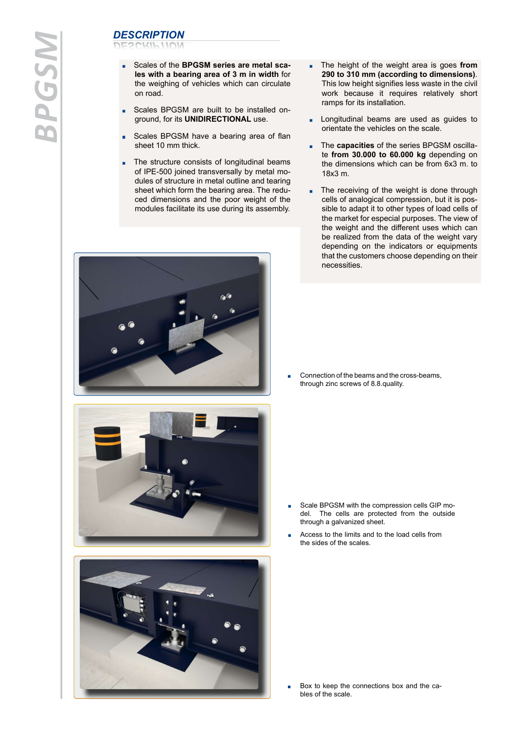# *BPGSM*

# *DESCRIPTION DESCRIPTION*

- Scales of the **BPGSM series are metal scales with a bearing area of 3 m in width** for the weighing of vehicles which can circulate on road.
- Scales BPGSM are built to be installed onground, for its **UNIDIRECTIONAL** use.
- Scales BPGSM have a bearing area of flan sheet 10 mm thick.
- The structure consists of longitudinal beams of IPE-500 joined transversally by metal modules of structure in metal outline and tearing sheet which form the bearing area. The reduced dimensions and the poor weight of the modules facilitate its use during its assembly.
- $\omega^{\prime\prime}$





- The height of the weight area is goes **from** m. **290 to 310 mm (according to dimensions)**. This low height signifies less waste in the civil work because it requires relatively short ramps for its installation.
- Longitudinal beams are used as guides to orientate the vehicles on the scale.
- The **capacities** of the series BPGSM oscilla- $\blacksquare$ te **from 30.000 to 60.000 kg** depending on the dimensions which can be from 6x3 m. to 18x3 m.
- The receiving of the weight is done through m. cells of analogical compression, but it is possible to adapt it to other types of load cells of the market for especial purposes. The view of the weight and the different uses which can be realized from the data of the weight vary depending on the indicators or equipments that the customers choose depending on their necessities.

Connection of the beams and the cross-beams, 'n through zinc screws of 8.8.quality.

- Scale BPGSM with the compression cells GIP model. The cells are protected from the outside through a galvanized sheet.
- Access to the limits and to the load cells from the sides of the scales.

Box to keep the connections box and the cables of the scale.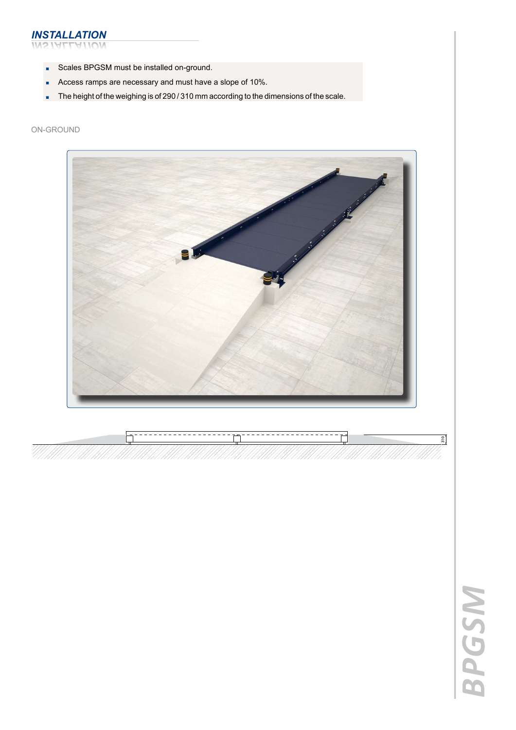### *INSTALLATION INSTALLATIÓN*

- Scales BPGSM must be installed on-ground.  $\blacksquare$
- Access ramps are necessary and must have a slope of 10%.
- The height of the weighing is of 290 / 310 mm according to the dimensions of the scale.

### oN-GROUND